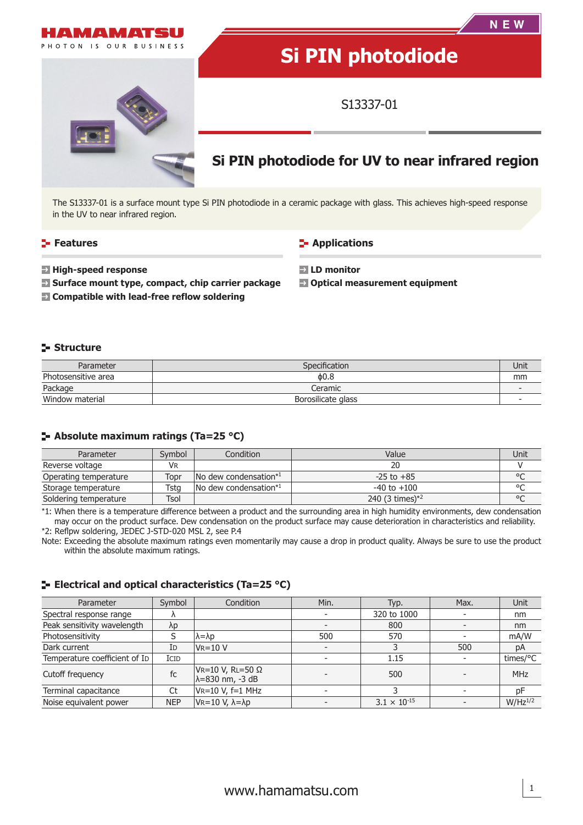



The S13337-01 is a surface mount type Si PIN photodiode in a ceramic package with glass. This achieves high-speed response in the UV to near infrared region.

#### **Features**

**Applications** 

**High-speed response**

**Surface mount type, compact, chip carrier package**

**Compatible with lead-free reflow soldering**

**LD monitor**

**Optical measurement equipment**

#### **Structure**

| Parameter           | <b>Specification</b> | Unit |
|---------------------|----------------------|------|
| Photosensitive area | 0.8                  | mm   |
| Package             | Ceramic              |      |
| Window material     | Borosilicate glass   |      |

#### **Absolute maximum ratings (Ta=25 °C)**

| Parameter             | Symbol | Condition                                 | Value              | Unit    |
|-----------------------|--------|-------------------------------------------|--------------------|---------|
| Reverse voltage       | VR     |                                           |                    |         |
| Operating temperature | Topr   | $\sqrt{N}$ dew condensation <sup>*1</sup> | $-25$ to $+85$     | $\circ$ |
| Storage temperature   | Tsta   | $\sqrt{N}$ dew condensation <sup>*1</sup> | $-40$ to $+100$    | $\circ$ |
| Soldering temperature | Tsol   |                                           | 240 $(3 \times 1)$ | $\circ$ |

\*1: When there is a temperature difference between a product and the surrounding area in high humidity environments, dew condensation may occur on the product surface. Dew condensation on the product surface may cause deterioration in characteristics and reliability. \*2: Reflpw soldering, JEDEC J-STD-020 MSL 2, see P.4

Note: Exceeding the absolute maximum ratings even momentarily may cause a drop in product quality. Always be sure to use the product within the absolute maximum ratings.

#### **ELECTRIE 25 °C) ELECTRICAL CONTRIGUART CONTRACTLE EXECUTE**

| Parameter                     | Symbol      | Condition                                     | Min. | Typ.                  | Max.                     | Unit         |
|-------------------------------|-------------|-----------------------------------------------|------|-----------------------|--------------------------|--------------|
| Spectral response range       |             |                                               |      | 320 to 1000           |                          | nm           |
| Peak sensitivity wavelength   | $\lambda p$ |                                               |      | 800                   |                          | nm           |
| Photosensitivity              |             | lλ=λp                                         | 500  | 570                   |                          | mA/W         |
| Dark current                  | ID          | $V = 10 V$                                    |      |                       | 500                      | pA           |
| Temperature coefficient of ID | ICID        |                                               |      | 1.15                  |                          | times/°C     |
| Cutoff frequency              | fc          | VR=10 V, RL=50 Ω<br>$\lambda = 830$ nm, -3 dB |      | 500                   | $\overline{\phantom{a}}$ | <b>MHz</b>   |
| Terminal capacitance          | Ct          | VR=10 V, f=1 MHz                              |      |                       |                          | pF           |
| Noise equivalent power        | <b>NEP</b>  | $V_R = 10 V$ , $\lambda = \lambda p$          |      | $3.1 \times 10^{-15}$ |                          | $W/Hz^{1/2}$ |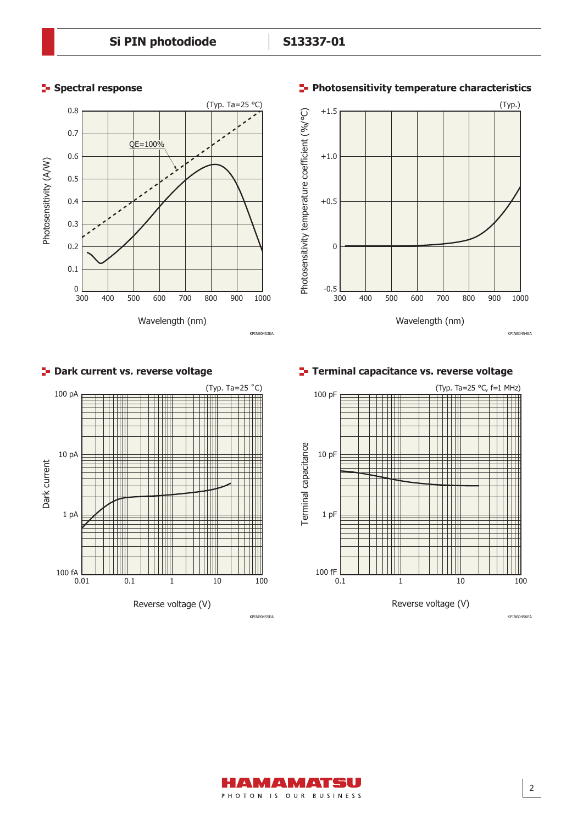# **Spectral response**





KPINB0453EA

KPINB0455EA

KPINB0454EA

#### (Typ. Ta=25 ˚C) 100 pA H ╅╅╫╫ W 10 pA Dark current Dark current Ш THT T THE T m 1 pA TTTTT 100  $fA$ <sub>0.01</sub> 0.01 0.1 1 10 100 Reverse voltage (V)

**P** Dark current vs. reverse voltage

**Terminal capacitance vs. reverse voltage**



### **Photosensitivity temperature characteristics**

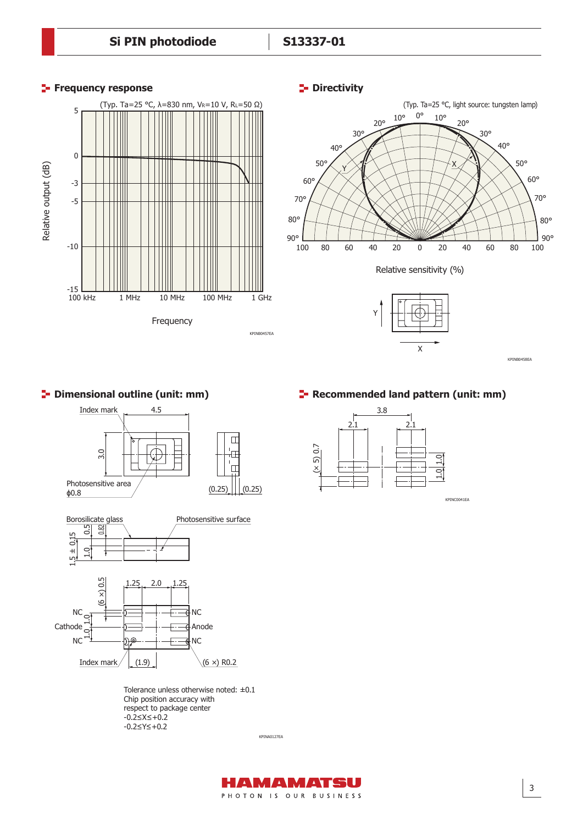



#### **P** Dimensional outline (unit: mm)





Tolerance unless otherwise noted: ±0.1 Chip position accuracy with respect to package center -0.2≤X≤+0.2 -0.2≤Y≤+0.2

KPINA0127EA

#### **F** Recommended land pattern (unit: mm)



KPINC0041EA